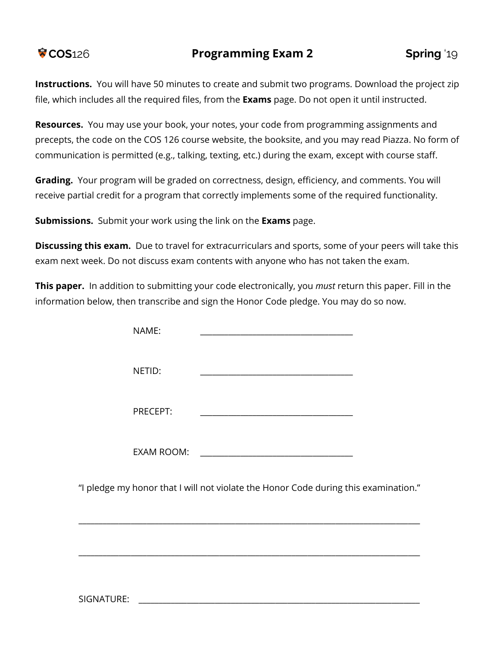## **COS**126 **Programming Exam 2 Spring** '19

**Instructions.** You will have 50 minutes to create and submit two programs. Download the project zip file, which includes all the required files, from the **Exams** page. Do not open it until instructed.

**Resources.** You may use your book, your notes, your code from programming assignments and precepts, the code on the COS 126 course website, the booksite, and you may read Piazza. No form of communication is permitted (e.g., talking, texting, etc.) during the exam, except with course staff.

**Grading.** Your program will be graded on correctness, design, efficiency, and comments. You will receive partial credit for a program that correctly implements some of the required functionality.

**Submissions.** Submit your work using the link on the **Exams** page.

**Discussing this exam.** Due to travel for extracurriculars and sports, some of your peers will take this exam next week. Do not discuss exam contents with anyone who has not taken the exam.

**This paper.** In addition to submitting your code electronically, you *must* return this paper. Fill in the information below, then transcribe and sign the Honor Code pledge. You may do so now.

| NAME:    |                                                                                     |  |
|----------|-------------------------------------------------------------------------------------|--|
| NETID:   |                                                                                     |  |
| PRECEPT: | <u> 1989 - Johann Barbara, martxa al III-lea (h. 1989).</u>                         |  |
|          |                                                                                     |  |
|          | "I pledge my honor that I will not violate the Honor Code during this examination." |  |
|          |                                                                                     |  |

SIGNATURE: